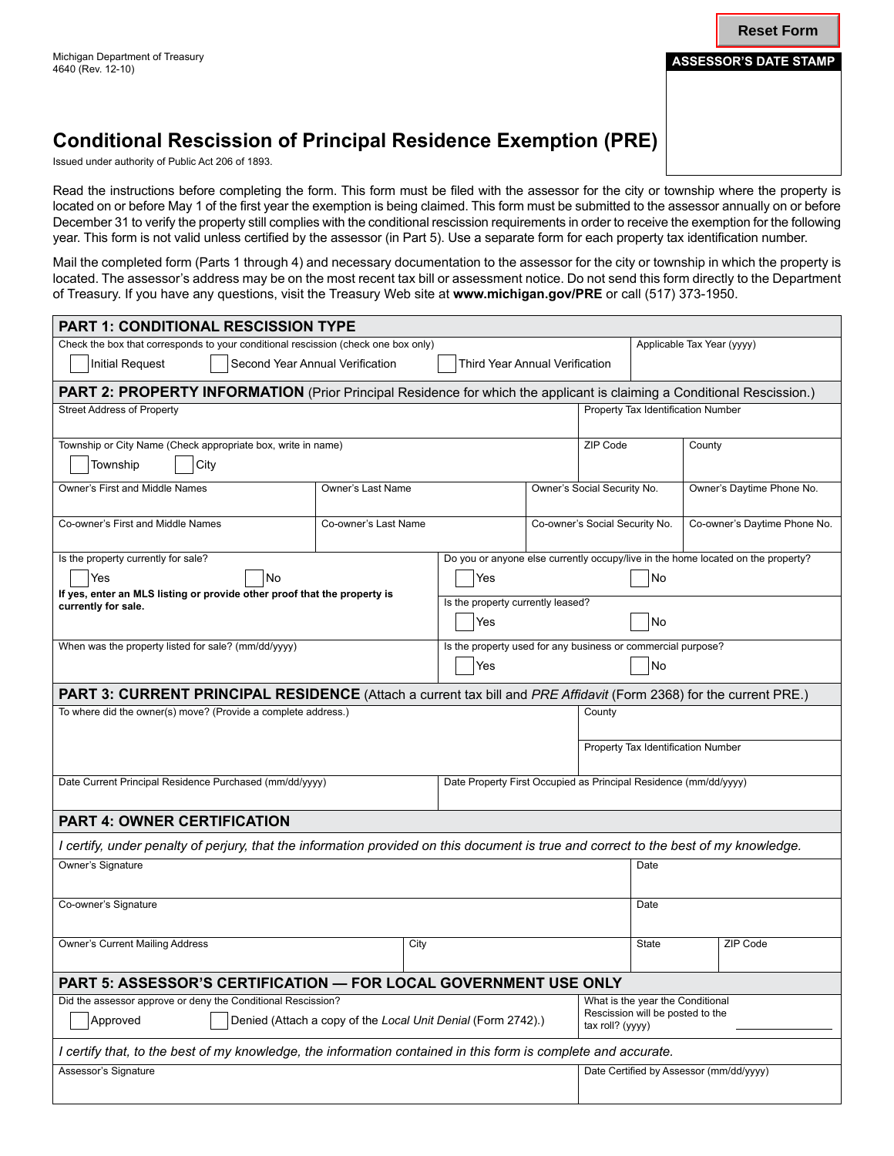**Reset Form**

## **Conditional Rescission of Principal Residence Exemption (PRE)**

Issued under authority of Public Act 206 of 1893.

Read the instructions before completing the form. This form must be filed with the assessor for the city or township where the property is located on or before May 1 of the first year the exemption is being claimed. This form must be submitted to the assessor annually on or before December 31 to verify the property still complies with the conditional rescission requirements in order to receive the exemption for the following year. This form is not valid unless certified by the assessor (in Part 5). Use a separate form for each property tax identification number.

Mail the completed form (Parts 1 through 4) and necessary documentation to the assessor for the city or township in which the property is located. The assessor's address may be on the most recent tax bill or assessment notice. Do not send this form directly to the Department of Treasury. If you have any questions, visit the Treasury Web site at **www.michigan.gov/PRE** or call (517) 373-1950.

| <b>PART 1: CONDITIONAL RESCISSION TYPE</b>                                                                                               |                      |  |                                                                           |                                                                                        |                                                                                          |       |                              |                           |  |
|------------------------------------------------------------------------------------------------------------------------------------------|----------------------|--|---------------------------------------------------------------------------|----------------------------------------------------------------------------------------|------------------------------------------------------------------------------------------|-------|------------------------------|---------------------------|--|
| Check the box that corresponds to your conditional rescission (check one box only)                                                       |                      |  |                                                                           |                                                                                        | Applicable Tax Year (yyyy)                                                               |       |                              |                           |  |
| Second Year Annual Verification<br><b>Initial Request</b><br>Third Year Annual Verification                                              |                      |  |                                                                           |                                                                                        |                                                                                          |       |                              |                           |  |
| PART 2: PROPERTY INFORMATION (Prior Principal Residence for which the applicant is claiming a Conditional Rescission.)                   |                      |  |                                                                           |                                                                                        |                                                                                          |       |                              |                           |  |
| <b>Street Address of Property</b>                                                                                                        |                      |  |                                                                           |                                                                                        | Property Tax Identification Number                                                       |       |                              |                           |  |
| Township or City Name (Check appropriate box, write in name)<br>Township<br>City                                                         |                      |  |                                                                           | County                                                                                 |                                                                                          |       |                              |                           |  |
| Owner's First and Middle Names                                                                                                           | Owner's Last Name    |  |                                                                           | Owner's Social Security No.                                                            |                                                                                          |       |                              | Owner's Daytime Phone No. |  |
| Co-owner's First and Middle Names                                                                                                        | Co-owner's Last Name |  |                                                                           | Co-owner's Social Security No.                                                         |                                                                                          |       | Co-owner's Daytime Phone No. |                           |  |
| Is the property currently for sale?<br>Yes<br>No<br>If yes, enter an MLS listing or provide other proof that the property is             |                      |  | Yes                                                                       | Do you or anyone else currently occupy/live in the home located on the property?<br>No |                                                                                          |       |                              |                           |  |
| currently for sale.                                                                                                                      |                      |  | Is the property currently leased?<br>Yes<br>No                            |                                                                                        |                                                                                          |       |                              |                           |  |
| When was the property listed for sale? (mm/dd/yyyy)                                                                                      |                      |  | Is the property used for any business or commercial purpose?<br>Yes<br>No |                                                                                        |                                                                                          |       |                              |                           |  |
| PART 3: CURRENT PRINCIPAL RESIDENCE (Attach a current tax bill and PRE Affidavit (Form 2368) for the current PRE.)                       |                      |  |                                                                           |                                                                                        |                                                                                          |       |                              |                           |  |
| To where did the owner(s) move? (Provide a complete address.)                                                                            |                      |  |                                                                           |                                                                                        | County                                                                                   |       |                              |                           |  |
|                                                                                                                                          |                      |  |                                                                           |                                                                                        | Property Tax Identification Number                                                       |       |                              |                           |  |
| Date Current Principal Residence Purchased (mm/dd/yyyy)                                                                                  |                      |  |                                                                           | Date Property First Occupied as Principal Residence (mm/dd/yyyy)                       |                                                                                          |       |                              |                           |  |
| <b>PART 4: OWNER CERTIFICATION</b>                                                                                                       |                      |  |                                                                           |                                                                                        |                                                                                          |       |                              |                           |  |
| I certify, under penalty of perjury, that the information provided on this document is true and correct to the best of my knowledge.     |                      |  |                                                                           |                                                                                        |                                                                                          |       |                              |                           |  |
| Owner's Signature                                                                                                                        |                      |  |                                                                           |                                                                                        |                                                                                          | Date  |                              |                           |  |
| Co-owner's Signature                                                                                                                     |                      |  |                                                                           |                                                                                        |                                                                                          | Date  |                              |                           |  |
| Owner's Current Mailing Address<br>City                                                                                                  |                      |  |                                                                           |                                                                                        |                                                                                          | State |                              | ZIP Code                  |  |
| PART 5: ASSESSOR'S CERTIFICATION - FOR LOCAL GOVERNMENT USE ONLY                                                                         |                      |  |                                                                           |                                                                                        |                                                                                          |       |                              |                           |  |
| Did the assessor approve or deny the Conditional Rescission?<br>Approved<br>Denied (Attach a copy of the Local Unit Denial (Form 2742).) |                      |  |                                                                           |                                                                                        | What is the year the Conditional<br>Rescission will be posted to the<br>tax roll? (yyyy) |       |                              |                           |  |
| I certify that, to the best of my knowledge, the information contained in this form is complete and accurate.                            |                      |  |                                                                           |                                                                                        |                                                                                          |       |                              |                           |  |
| Assessor's Signature                                                                                                                     |                      |  |                                                                           |                                                                                        | Date Certified by Assessor (mm/dd/yyyy)                                                  |       |                              |                           |  |